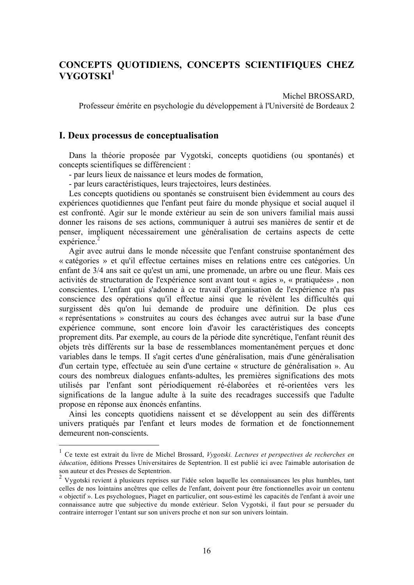# CONCEPTS QUOTIDIENS, CONCEPTS SCIENTIFIQUES CHEZ VYGOTSKI<sup>1</sup>

Michel BROSSARD.

Professeur émérite en psychologie du développement à l'Université de Bordeaux 2

### I. Deux processus de conceptualisation

Dans la théorie proposée par Vygotski, concepts quotidiens (ou spontanés) et concepts scientifiques se différencient :

- par leurs lieux de naissance et leurs modes de formation,

- par leurs caractéristiques, leurs trajectoires, leurs destinées.

Les concepts quotidiens ou spontanés se construisent bien évidemment au cours des expériences quotidiennes que l'enfant peut faire du monde physique et social auquel il est confronté. Agir sur le monde extérieur au sein de son univers familial mais aussi donner les raisons de ses actions, communiquer à autrui ses manières de sentir et de penser, impliquent nécessairement une généralisation de certains aspects de cette expérience.<sup>2</sup>

Agir avec autrui dans le monde nécessite que l'enfant construise spontanément des « catégories » et qu'il effectue certaines mises en relations entre ces catégories. Un enfant de 3/4 ans sait ce qu'est un ami, une promenade, un arbre ou une fleur. Mais ces activités de structuration de l'expérience sont avant tout « agies », « pratiquées», non conscientes. L'enfant qui s'adonne à ce travail d'organisation de l'expérience n'a pas conscience des opérations qu'il effectue ainsi que le révèlent les difficultés qui surgissent dès qu'on lui demande de produire une définition. De plus ces « représentations » construites au cours des échanges avec autrui sur la base d'une expérience commune, sont encore loin d'avoir les caractéristiques des concepts proprement dits. Par exemple, au cours de la période dite syncrétique, l'enfant réunit des objets très différents sur la base de ressemblances momentanément perçues et donc variables dans le temps. Il s'agit certes d'une généralisation, mais d'une généralisation d'un certain type, effectuée au sein d'une certaine « structure de généralisation ». Au cours des nombreux dialogues enfants-adultes, les premières significations des mots utilisés par l'enfant sont périodiquement ré-élaborées et ré-orientées vers les significations de la langue adulte à la suite des recadrages successifs que l'adulte propose en réponse aux énoncés enfantins.

Ainsi les concepts quotidiens naissent et se développent au sein des différents univers pratiqués par l'enfant et leurs modes de formation et de fonctionnement demeurent non-conscients.

 $1$  Ce texte est extrait du livre de Michel Brossard, Vygotski. Lectures et perspectives de recherches en éducation, éditions Presses Universitaires de Septentrion. Il est publié ici avec l'aimable autorisation de son auteur et des Presses de Septentrion.

<sup>&</sup>lt;sup>2</sup> Vygotski revient à plusieurs reprises sur l'idée selon laquelle les connaissances les plus humbles, tant celles de nos lointains ancêtres que celles de l'enfant, doivent pour être fonctionnelles avoir un contenu « objectif ». Les psychologues, Piaget en particulier, ont sous-estimé les capacités de l'enfant à avoir une connaissance autre que subjective du monde extérieur. Selon Vygotski, il faut pour se persuader du contraire interroger l'entant sur son univers proche et non sur son univers lointain.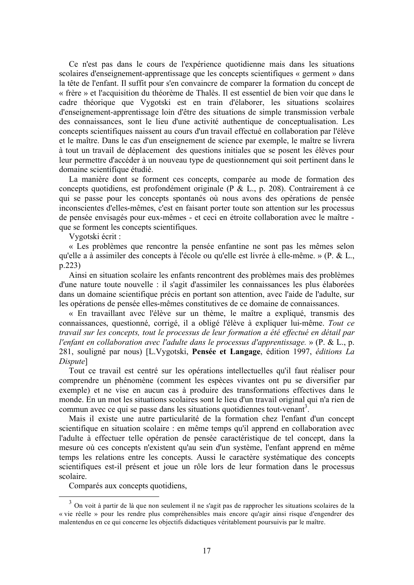Ce n'est pas dans le cours de l'expérience quotidienne mais dans les situations scolaires d'enseignement-apprentissage que les concepts scientifiques « germent » dans la tête de l'enfant. Il suffit pour s'en convaincre de comparer la formation du concept de « frère » et l'acquisition du théorème de Thalès. Il est essentiel de bien voir que dans le cadre théorique que Vygotski est en train d'élaborer, les situations scolaires d'enseignement-apprentissage loin d'être des situations de simple transmission verbale des connaissances, sont le lieu d'une activité authentique de conceptualisation. Les concepts scientifiques naissent au cours d'un travail effectué en collaboration par l'élève et le maître. Dans le cas d'un enseignement de science par exemple, le maître se livrera à tout un travail de déplacement des questions initiales que se posent les élèves pour leur permettre d'accéder à un nouveau type de questionnement qui soit pertinent dans le domaine scientifique étudié.

La manière dont se forment ces concepts, comparée au mode de formation des concepts quotidiens, est profondément originale (P & L., p. 208). Contrairement à ce qui se passe pour les concepts spontanés où nous avons des opérations de pensée inconscientes d'elles-mêmes, c'est en faisant porter toute son attention sur les processus de pensée envisagés pour eux-mêmes - et ceci en étroite collaboration avec le maître que se forment les concepts scientifiques.

Vygotski écrit:

« Les problèmes que rencontre la pensée enfantine ne sont pas les mêmes selon au'elle a à assimiler des concepts à l'école ou qu'elle est livrée à elle-même. » (P. & L.  $p.223)$ 

Ainsi en situation scolaire les enfants rencontrent des problèmes mais des problèmes d'une nature toute nouvelle : il s'agit d'assimiler les connaissances les plus élaborées dans un domaine scientifique précis en portant son attention, avec l'aide de l'adulte, sur les opérations de pensée elles-mêmes constitutives de ce domaine de connaissances.

« En travaillant avec l'élève sur un thème, le maître a expliqué, transmis des connaissances, questionné, corrigé, il a obligé l'élève à expliquer lui-même. Tout ce travail sur les concepts, tout le processus de leur formation a été effectué en détail par *l'enfant en collaboration avec l'adulte dans le processus d'apprentissage.* » ( $P$ . &  $L$ .,  $p$ . 281, souligné par nous) [L.Vygotski, Pensée et Langage, édition 1997, éditions La Dispute<sup>1</sup>

Tout ce travail est centré sur les opérations intellectuelles qu'il faut réaliser pour comprendre un phénomène (comment les espèces vivantes ont pu se diversifier par exemple) et ne vise en aucun cas à produire des transformations effectives dans le monde. En un mot les situations scolaires sont le lieu d'un travail original qui n'a rien de commun avec ce qui se passe dans les situations quotidiennes tout-venant<sup>3</sup>.

Mais il existe une autre particularité de la formation chez l'enfant d'un concept scientifique en situation scolaire : en même temps qu'il apprend en collaboration avec l'adulte à effectuer telle opération de pensée caractéristique de tel concept, dans la mesure où ces concepts n'existent qu'au sein d'un système, l'enfant apprend en même temps les relations entre les concepts. Aussi le caractère systématique des concepts scientifiques est-il présent et joue un rôle lors de leur formation dans le processus scolaire.

Comparés aux concepts quotidiens,

<sup>&</sup>lt;sup>3</sup> On voit à partir de là que non seulement il ne s'agit pas de rapprocher les situations scolaires de la « vie réelle » pour les rendre plus compréhensibles mais encore qu'agir ainsi risque d'engendrer des malentendus en ce qui concerne les objectifs didactiques véritablement poursuivis par le maître.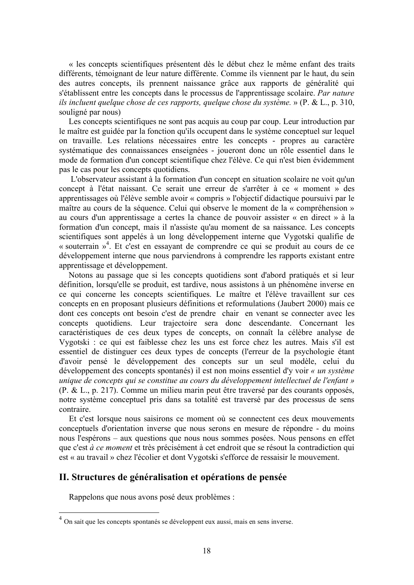« les concepts scientifiques présentent dès le début chez le même enfant des traits différents, témoignant de leur nature différente. Comme ils viennent par le haut, du sein des autres concepts, ils prennent naissance grâce aux rapports de généralité qui s'établissent entre les concepts dans le processus de l'apprentissage scolaire. Par nature ils incluent quelque chose de ces rapports, quelque chose du système. »  $(P \& L., p. 310, p. 310)$ souligné par nous)

Les concepts scientifiques ne sont pas acquis au coup par coup. Leur introduction par le maître est guidée par la fonction qu'ils occupent dans le système conceptuel sur lequel on travaille. Les relations nécessaires entre les concepts - propres au caractère systématique des connaissances enseignées - joueront donc un rôle essentiel dans le mode de formation d'un concept scientifique chez l'élève. Ce qui n'est bien évidemment pas le cas pour les concepts quotidiens.

L'observateur assistant à la formation d'un concept en situation scolaire ne voit qu'un concept à l'état naissant. Ce serait une erreur de s'arrêter à ce « moment » des apprentissages où l'élève semble avoir « compris » l'objectif didactique poursuivi par le maître au cours de la séquence. Celui qui observe le moment de la « compréhension » au cours d'un apprentissage a certes la chance de pouvoir assister « en direct » à la formation d'un concept, mais il n'assiste qu'au moment de sa naissance. Les concepts scientifiques sont appelés à un long développement interne que Vygotski qualifie de « souterrain »<sup>4</sup>. Et c'est en essayant de comprendre ce qui se produit au cours de ce développement interne que nous parviendrons à comprendre les rapports existant entre apprentissage et développement.

Notons au passage que si les concepts quotidiens sont d'abord pratiqués et si leur définition, lorsqu'elle se produit, est tardive, nous assistons à un phénomène inverse en ce qui concerne les concepts scientifiques. Le maître et l'élève travaillent sur ces concepts en en proposant plusieurs définitions et reformulations (Jaubert 2000) mais ce dont ces concepts ont besoin c'est de prendre chair en venant se connecter avec les concepts quotidiens. Leur trajectoire sera donc descendante. Concernant les caractéristiques de ces deux types de concepts, on connaît la célèbre analyse de Vygotski: ce qui est faiblesse chez les uns est force chez les autres. Mais s'il est essentiel de distinguer ces deux types de concepts (l'erreur de la psychologie étant d'avoir pensé le développement des concepts sur un seul modèle, celui du développement des concepts spontanés) il est non moins essentiel d'v voir « un système unique de concepts qui se constitue au cours du développement intellectuel de l'enfant » (P. & L., p. 217). Comme un milieu marin peut être traversé par des courants opposés, notre système conceptuel pris dans sa totalité est traversé par des processus de sens contraire.

Et c'est lorsque nous saisirons ce moment où se connectent ces deux mouvements conceptuels d'orientation inverse que nous serons en mesure de répondre - du moins nous l'espérons – aux questions que nous nous sommes posées. Nous pensons en effet que c'est à ce moment et très précisément à cet endroit que se résout la contradiction qui est « au travail » chez l'écolier et dont Vygotski s'efforce de ressaisir le mouvement.

## II. Structures de généralisation et opérations de pensée

Rappelons que nous avons posé deux problèmes :

On sait que les concepts spontanés se développent eux aussi, mais en sens inverse.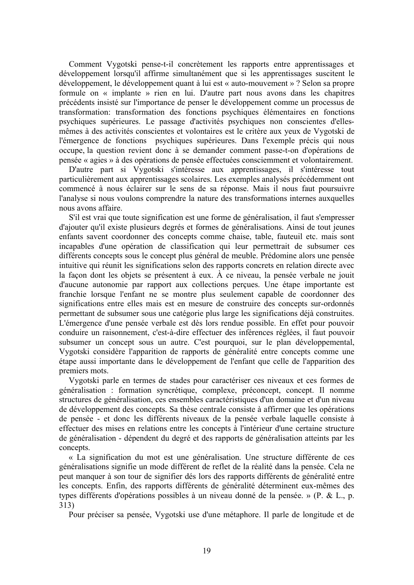Comment Vygotski pense-t-il concrètement les rapports entre apprentissages et développement lorsqu'il affirme simultanément que si les apprentissages suscitent le développement, le développement quant à lui est « auto-mouvement » ? Selon sa propre formule on « implante » rien en lui. D'autre part nous avons dans les chapitres précédents insisté sur l'importance de penser le développement comme un processus de transformation: transformation des fonctions psychiques élémentaires en fonctions psychiques supérieures. Le passage d'activités psychiques non conscientes d'ellesmêmes à des activités conscientes et volontaires est le critère aux yeux de Vygotski de l'émergence de fonctions psychiques supérieures. Dans l'exemple précis qui nous occupe, la question revient donc à se demander comment passe-t-on d'opérations de pensée « agies » à des opérations de pensée effectuées consciemment et volontairement.

D'autre part si Vygotski s'intéresse aux apprentissages, il s'intéresse tout particulièrement aux apprentissages scolaires. Les exemples analysés précédemment ont commencé à nous éclairer sur le sens de sa réponse. Mais il nous faut poursuivre l'analyse si nous voulons comprendre la nature des transformations internes auxquelles nous avons affaire

S'il est vrai que toute signification est une forme de généralisation, il faut s'empresser d'ajouter qu'il existe plusieurs degrés et formes de généralisations. Ainsi de tout jeunes enfants savent coordonner des concepts comme chaise, table, fauteuil etc. mais sont incapables d'une opération de classification qui leur permettrait de subsumer ces différents concepts sous le concept plus général de meuble. Prédomine alors une pensée intuitive qui réunit les significations selon des rapports concrets en relation directe avec la façon dont les objets se présentent à eux. À ce niveau, la pensée verbale ne jouit d'aucune autonomie par rapport aux collections perçues. Une étape importante est franchie lorsque l'enfant ne se montre plus seulement capable de coordonner des significations entre elles mais est en mesure de construire des concepts sur-ordonnés permettant de subsumer sous une catégorie plus large les significations déjà construites. L'émergence d'une pensée verbale est dès lors rendue possible. En effet pour pouvoir conduire un raisonnement, c'est-à-dire effectuer des inférences réglées, il faut pouvoir subsumer un concept sous un autre. C'est pourquoi, sur le plan développemental, Vygotski considère l'apparition de rapports de généralité entre concepts comme une étape aussi importante dans le développement de l'enfant que celle de l'apparition des premiers mots.

Vygotski parle en termes de stades pour caractériser ces niveaux et ces formes de généralisation : formation syncrétique, complexe, préconcept, concept. Il nomme structures de généralisation, ces ensembles caractéristiques d'un domaine et d'un niveau de développement des concepts. Sa thèse centrale consiste à affirmer que les opérations de pensée - et donc les différents niveaux de la pensée verbale laquelle consiste à effectuer des mises en relations entre les concepts à l'intérieur d'une certaine structure de généralisation - dépendent du degré et des rapports de généralisation atteints par les concepts.

« La signification du mot est une généralisation. Une structure différente de ces généralisations signifie un mode différent de reflet de la réalité dans la pensée. Cela ne peut manquer à son tour de signifier dés lors des rapports différents de généralité entre les concepts. Enfin, des rapports différents de généralité déterminent eux-mêmes des types différents d'opérations possibles à un niveau donné de la pensée. » (P. & L., p.  $313)$ 

Pour préciser sa pensée. Vygotski use d'une métaphore. Il parle de longitude et de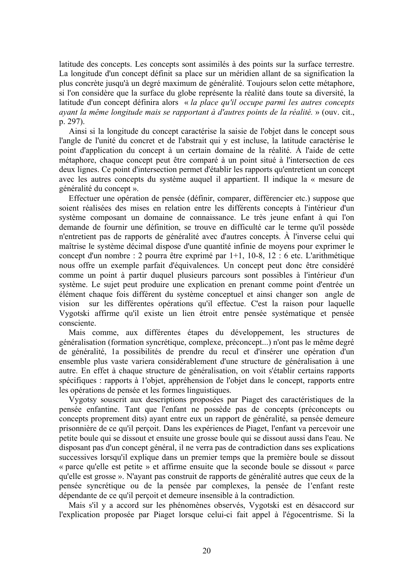latitude des concepts. Les concepts sont assimilés à des points sur la surface terrestre. La longitude d'un concept définit sa place sur un méridien allant de sa signification la plus concrète jusqu'à un degré maximum de généralité. Toujours selon cette métaphore, si l'on considère que la surface du globe représente la réalité dans toute sa diversité, la latitude d'un concept définira alors « la place qu'il occupe parmi les autres concepts avant la même longitude mais se rapportant à d'autres points de la réalité. » (ouv. cit., p. 297).

Ainsi si la longitude du concept caractérise la saisie de l'objet dans le concept sous l'angle de l'unité du concret et de l'abstrait qui y est incluse, la latitude caractérise le point d'application du concept à un certain domaine de la réalité. À l'aide de cette métaphore, chaque concept peut être comparé à un point situé à l'intersection de ces deux lignes. Ce point d'intersection permet d'établir les rapports qu'entretient un concept avec les autres concepts du système auquel il appartient. Il indique la « mesure de généralité du concept ».

Effectuer une opération de pensée (définir, comparer, différencier etc.) suppose que soient réalisées des mises en relation entre les différents concepts à l'intérieur d'un système composant un domaine de connaissance. Le très jeune enfant à qui l'on demande de fournir une définition, se trouve en difficulté car le terme qu'il possède n'entretient pas de rapports de généralité avec d'autres concepts. À l'inverse celui qui maîtrise le système décimal dispose d'une quantité infinie de moyens pour exprimer le concept d'un nombre : 2 pourra être exprimé par 1+1, 10-8, 12 : 6 etc. L'arithmétique nous offre un exemple parfait d'équivalences. Un concept peut donc être considéré comme un point à partir duquel plusieurs parcours sont possibles à l'intérieur d'un système. Le sujet peut produire une explication en prenant comme point d'entrée un élément chaque fois différent du système conceptuel et ainsi changer son angle de vision sur les différentes opérations qu'il effectue. C'est la raison pour laquelle Vygotski affirme qu'il existe un lien étroit entre pensée systématique et pensée consciente.

Mais comme, aux différentes étapes du développement, les structures de généralisation (formation syncrétique, complexe, préconcept...) n'ont pas le même degré de généralité, la possibilités de prendre du recul et d'insérer une opération d'un ensemble plus vaste variera considérablement d'une structure de généralisation à une autre. En effet à chaque structure de généralisation, on voit s'établir certains rapports spécifiques : rapports à l'objet, appréhension de l'objet dans le concept, rapports entre les opérations de pensée et les formes linguistiques.

Vygotsy souscrit aux descriptions proposées par Piaget des caractéristiques de la pensée enfantine. Tant que l'enfant ne possède pas de concepts (préconcepts ou concepts proprement dits) ayant entre eux un rapport de généralité, sa pensée demeure prisonnière de ce qu'il perçoit. Dans les expériences de Piaget, l'enfant va percevoir une petite boule qui se dissout et ensuite une grosse boule qui se dissout aussi dans l'eau. Ne disposant pas d'un concept général, il ne verra pas de contradiction dans ses explications successives lorsqu'il explique dans un premier temps que la première boule se dissout « parce qu'elle est petite » et affirme ensuite que la seconde boule se dissout « parce qu'elle est grosse ». N'ayant pas construit de rapports de généralité autres que ceux de la pensée syncrétique ou de la pensée par complexes, la pensée de l'enfant reste dépendante de ce qu'il perçoit et demeure insensible à la contradiction.

Mais s'il y a accord sur les phénomènes observés, Vygotski est en désaccord sur l'explication proposée par Piaget lorsque celui-ci fait appel à l'égocentrisme. Si la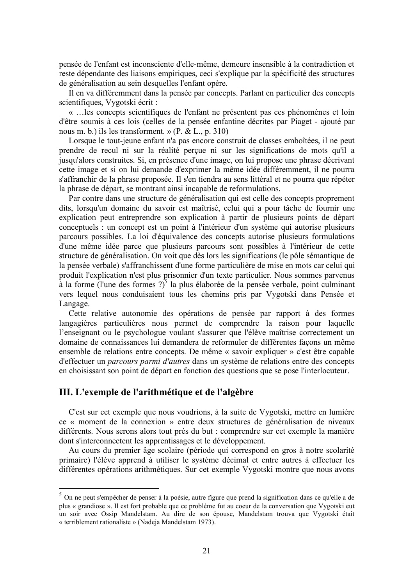pensée de l'enfant est inconsciente d'elle-même, demeure insensible à la contradiction et reste dépendante des liaisons empiriques, ceci s'explique par la spécificité des structures de généralisation au sein desquelles l'enfant opère.

Il en va différemment dans la pensée par concepts. Parlant en particulier des concepts scientifiques, Vygotski écrit :

« ... les concepts scientifiques de l'enfant ne présentent pas ces phénomènes et loin d'être soumis à ces lois (celles de la pensée enfantine décrites par Piaget - ajouté par nous m. b.) ils les transforment. » (P. & L., p. 310)

Lorsque le tout-jeune enfant n'a pas encore construit de classes emboîtées, il ne peut prendre de recul ni sur la réalité percue ni sur les significations de mots qu'il a jusqu'alors construites. Si, en présence d'une image, on lui propose une phrase décrivant cette image et si on lui demande d'exprimer la même idée différemment, il ne pourra s'affranchir de la phrase proposée. Il s'en tiendra au sens littéral et ne pourra que répéter la phrase de départ, se montrant ainsi incapable de reformulations.

Par contre dans une structure de généralisation qui est celle des concepts proprement dits, lorsqu'un domaine du savoir est maîtrisé, celui qui a pour tâche de fournir une explication peut entreprendre son explication à partir de plusieurs points de départ conceptuels : un concept est un point à l'intérieur d'un système qui autorise plusieurs parcours possibles. La loi d'équivalence des concepts autorise plusieurs formulations d'une même idée parce que plusieurs parcours sont possibles à l'intérieur de cette structure de généralisation. On voit que dès lors les significations (le pôle sémantique de la pensée verbale) s'affranchissent d'une forme particulière de mise en mots car celui qui produit l'explication n'est plus prisonnier d'un texte particulier. Nous sommes parvenus à la forme (l'une des formes ?)<sup>5</sup> la plus élaborée de la pensée verbale, point culminant vers lequel nous conduisaient tous les chemins pris par Vygotski dans Pensée et Langage.

Cette relative autonomie des opérations de pensée par rapport à des formes langagières particulières nous permet de comprendre la raison pour laquelle l'enseignant ou le psychologue voulant s'assurer que l'élève maîtrise correctement un domaine de connaissances lui demandera de reformuler de différentes facons un même ensemble de relations entre concepts. De même « savoir expliquer » c'est être capable d'effectuer un *parcours parmi d'autres* dans un système de relations entre des concepts en choisissant son point de départ en fonction des questions que se pose l'interlocuteur.

## III. L'exemple de l'arithmétique et de l'algèbre

C'est sur cet exemple que nous voudrions, à la suite de Vygotski, mettre en lumière ce « moment de la connexion » entre deux structures de généralisation de niveaux différents. Nous serons alors tout prés du but : comprendre sur cet exemple la manière dont s'interconnectent les apprentissages et le développement.

Au cours du premier âge scolaire (période qui correspond en gros à notre scolarité primaire) l'élève apprend à utiliser le système décimal et entre autres à effectuer les différentes opérations arithmétiques. Sur cet exemple Vygotski montre que nous avons

<sup>&</sup>lt;sup>5</sup> On ne peut s'empêcher de penser à la poésie, autre figure que prend la signification dans ce qu'elle a de plus « grandiose ». Il est fort probable que ce problème fut au coeur de la conversation que Vygotski eut un soir avec Ossip Mandelstam. Au dire de son épouse, Mandelstam trouva que Vygotski était « terriblement rationaliste » (Nadeia Mandelstam 1973).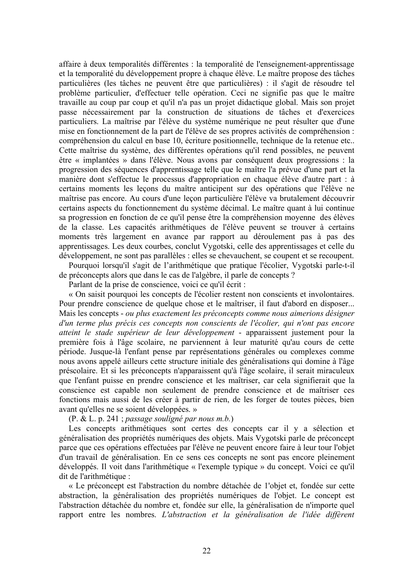affaire à deux temporalités différentes : la temporalité de l'enseignement-apprentissage et la temporalité du développement propre à chaque élève. Le maître propose des tâches particulières (les tâches ne peuvent être que particulières) : il s'agit de résoudre tel problème particulier, d'effectuer telle opération. Ceci ne signifie pas que le maître travaille au coup par coup et qu'il n'a pas un projet didactique global. Mais son projet passe nécessairement par la construction de situations de tâches et d'exercices particuliers. La maîtrise par l'élève du système numérique ne peut résulter que d'une mise en fonctionnement de la part de l'élève de ses propres activités de compréhension : compréhension du calcul en base 10, écriture positionnelle, technique de la retenue etc.. Cette maîtrise du système, des différentes opérations qu'il rend possibles, ne peuvent être « implantées » dans l'élève. Nous avons par conséquent deux progressions : la progression des séquences d'apprentissage telle que le maître l'a prévue d'une part et la manière dont s'effectue le processus d'appropriation en chaque élève d'autre part : à certains moments les lecons du maître anticipent sur des opérations que l'élève ne maîtrise pas encore. Au cours d'une lecon particulière l'élève va brutalement découvrir certains aspects du fonctionnement du système décimal. Le maître quant à lui continue sa progression en fonction de ce qu'il pense être la compréhension moyenne des élèves de la classe. Les capacités arithmétiques de l'élève peuvent se trouver à certains moments très largement en avance par rapport au déroulement pas à pas des apprentissages. Les deux courbes, conclut Vygotski, celle des apprentissages et celle du développement, ne sont pas parallèles : elles se chevauchent, se coupent et se recoupent.

Pourquoi lorsqu'il s'agit de l'arithmétique que pratique l'écolier. Vygotski parle-t-il de préconcepts alors que dans le cas de l'algèbre, il parle de concepts ?

Parlant de la prise de conscience, voici ce qu'il écrit :

« On saisit pourquoi les concepts de l'écolier restent non conscients et involontaires. Pour prendre conscience de quelque chose et le maîtriser, il faut d'abord en disposer... Mais les concepts - ou plus exactement les préconcepts comme nous aimerions désigner d'un terme plus précis ces concepts non conscients de l'écolier, qui n'ont pas encore atteint le stade supérieur de leur développement - apparaissent justement pour la première fois à l'âge scolaire, ne parviennent à leur maturité qu'au cours de cette période. Jusque-là l'enfant pense par représentations générales ou complexes comme nous avons appelé ailleurs cette structure initiale des généralisations qui domine à l'âge préscolaire. Et si les préconcepts n'apparaissent qu'à l'âge scolaire, il serait miraculeux que l'enfant puisse en prendre conscience et les maîtriser, car cela signifierait que la conscience est capable non seulement de prendre conscience et de maîtriser ces fonctions mais aussi de les créer à partir de rien, de les forger de toutes pièces, bien avant qu'elles ne se soient développées. »

 $(P, \& L, p. 241$ ; passage souligné par nous m.b.)

Les concepts arithmétiques sont certes des concepts car il y a sélection et généralisation des propriétés numériques des objets. Mais Vygotski parle de préconcept parce que ces opérations effectuées par l'élève ne peuvent encore faire à leur tour l'objet d'un travail de généralisation. En ce sens ces concepts ne sont pas encore pleinement développés. Il voit dans l'arithmétique « l'exemple typique » du concept. Voici ce qu'il dit de l'arithmétique :

« Le préconcept est l'abstraction du nombre détachée de l'objet et, fondée sur cette abstraction, la généralisation des propriétés numériques de l'objet. Le concept est l'abstraction détachée du nombre et, fondée sur elle, la généralisation de n'importe quel rapport entre les nombres. L'abstraction et la généralisation de l'idée diffèrent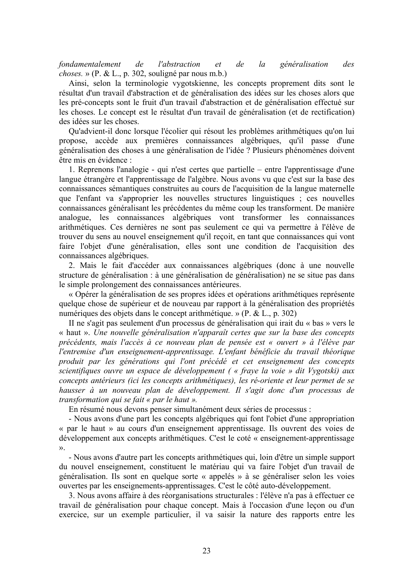fondamentalement  $de$ *l'abstraction*  $de$  $l\alpha$ généralisation  $et$  $des$ *choses.* » (P. & L., p. 302, souligné par nous m.b.)

Ainsi, selon la terminologie vygotskienne, les concepts proprement dits sont le résultat d'un travail d'abstraction et de généralisation des idées sur les choses alors que les pré-concepts sont le fruit d'un travail d'abstraction et de généralisation effectué sur les choses. Le concept est le résultat d'un travail de généralisation (et de rectification) des idées sur les choses.

Qu'advient-il donc lorsque l'écolier qui résout les problèmes arithmétiques qu'on lui propose, accède aux premières connaissances algébriques, qu'il passe d'une généralisation des choses à une généralisation de l'idée ? Plusieurs phénomènes doivent être mis en évidence :

1. Reprenons l'analogie - qui n'est certes que partielle – entre l'apprentissage d'une langue étrangère et l'apprentissage de l'algèbre. Nous avons vu que c'est sur la base des connaissances sémantiques construites au cours de l'acquisition de la langue maternelle que l'enfant va s'approprier les nouvelles structures linguistiques : ces nouvelles connaissances généralisant les précédentes du même coup les transforment. De manière analogue, les connaissances algébriques vont transformer les connaissances arithmétiques. Ces dernières ne sont pas seulement ce qui va permettre à l'élève de trouver du sens au nouvel enseignement qu'il reçoit, en tant que connaissances qui vont faire l'objet d'une généralisation, elles sont une condition de l'acquisition des connaissances algébriques.

2. Mais le fait d'accéder aux connaissances algébriques (donc à une nouvelle structure de généralisation : à une généralisation de généralisation) ne se situe pas dans le simple prolongement des connaissances antérieures.

« Opérer la généralisation de ses propres idées et opérations arithmétiques représente quelque chose de supérieur et de nouveau par rapport à la généralisation des propriétés numériques des objets dans le concept arithmétique. » (P. & L., p. 302)

II ne s'agit pas seulement d'un processus de généralisation qui irait du « bas » vers le « haut ». Une nouvelle généralisation n'apparaît certes que sur la base des concepts précédents, mais l'accès à ce nouveau plan de pensée est « ouvert » à l'élève par l'entremise d'un enseignement-apprentissage. L'enfant bénéficie du travail théorique produit par les générations qui l'ont précédé et cet enseignement des concepts scientifiques ouvre un espace de développement (« fraye la voie » dit Vygotski) aux concepts antérieurs (ici les concepts arithmétiques), les ré-oriente et leur permet de se hausser à un nouveau plan de développement. Il s'agit donc d'un processus de transformation qui se fait « par le haut ».

En résumé nous devons penser simultanément deux séries de processus :

- Nous avons d'une part les concepts algébriques qui font l'obiet d'une appropriation « par le haut » au cours d'un enseignement apprentissage. Ils ouvrent des voies de développement aux concepts arithmétiques. C'est le coté « enseignement-apprentissage  $\mathcal{V}$ .

- Nous avons d'autre part les concepts arithmétiques qui, loin d'être un simple support du nouvel enseignement, constituent le matériau qui va faire l'objet d'un travail de généralisation. Ils sont en quelque sorte « appelés » à se généraliser selon les voies ouvertes par les enseignements-apprentissages. C'est le côté auto-développement.

3. Nous avons affaire à des réorganisations structurales : l'élève n'a pas à effectuer ce travail de généralisation pour chaque concept. Mais à l'occasion d'une leçon ou d'un exercice, sur un exemple particulier, il va saisir la nature des rapports entre les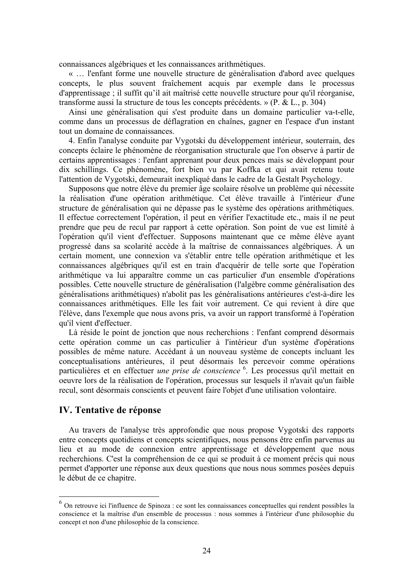connaissances algébriques et les connaissances arithmétiques.

« ... l'enfant forme une nouvelle structure de généralisation d'abord avec quelques concepts, le plus souvent fraîchement acquis par exemple dans le processus d'apprentissage ; il suffit qu'il ait maîtrisé cette nouvelle structure pour qu'il réorganise, transforme aussi la structure de tous les concepts précédents. » ( $P$ . & L., p. 304)

Ainsi une généralisation qui s'est produite dans un domaine particulier va-t-elle, comme dans un processus de déflagration en chaînes, gagner en l'espace d'un instant tout un domaine de connaissances.

4. Enfin l'analyse conduite par Vygotski du développement intérieur, souterrain, des concepts éclaire le phénomène de réorganisation structurale que l'on observe à partir de certains apprentissages : l'enfant apprenant pour deux pences mais se développant pour dix schillings. Ce phénomène, fort bien vu par Koffka et qui avait retenu toute l'attention de Vygotski, demeurait inexpliqué dans le cadre de la Gestalt Psychology.

Supposons que notre élève du premier âge scolaire résolve un problème qui nécessite la réalisation d'une opération arithmétique. Cet élève travaille à l'intérieur d'une structure de généralisation qui ne dépasse pas le système des opérations arithmétiques. Il effectue correctement l'opération, il peut en vérifier l'exactitude etc., mais il ne peut prendre que peu de recul par rapport à cette opération. Son point de vue est limité à l'opération qu'il vient d'effectuer. Supposons maintenant que ce même élève ayant progressé dans sa scolarité accède à la maîtrise de connaissances algébriques. À un certain moment, une connexion va s'établir entre telle opération arithmétique et les connaissances algébriques qu'il est en train d'acquérir de telle sorte que l'opération arithmétique va lui apparaître comme un cas particulier d'un ensemble d'opérations possibles. Cette nouvelle structure de généralisation (l'algèbre comme généralisation des généralisations arithmétiques) n'abolit pas les généralisations antérieures c'est-à-dire les connaissances arithmétiques. Elle les fait voir autrement. Ce qui revient à dire que l'élève, dans l'exemple que nous avons pris, va avoir un rapport transformé à l'opération qu'il vient d'effectuer.

Là réside le point de jonction que nous recherchions : l'enfant comprend désormais cette opération comme un cas particulier à l'intérieur d'un système d'opérations possibles de même nature. Accédant à un nouveau système de concepts incluant les conceptualisations antérieures, il peut désormais les percevoir comme opérations particulières et en effectuer *une prise de conscience* <sup>6</sup>. Les processus qu'il mettait en oeuvre lors de la réalisation de l'opération, processus sur lesquels il n'avait qu'un faible recul, sont désormais conscients et peuvent faire l'objet d'une utilisation volontaire.

## **IV. Tentative de réponse**

Au travers de l'analyse très approfondie que nous propose Vygotski des rapports entre concepts quotidiens et concepts scientifiques, nous pensons être enfin parvenus au lieu et au mode de connexion entre apprentissage et développement que nous recherchions. C'est la compréhension de ce qui se produit à ce moment précis qui nous permet d'apporter une réponse aux deux questions que nous nous sommes posées depuis le début de ce chapitre.

 $6$  On retrouve ici l'influence de Spinoza : ce sont les connaissances conceptuelles qui rendent possibles la conscience et la maîtrise d'un ensemble de processus : nous sommes à l'intérieur d'une philosophie du concept et non d'une philosophie de la conscience.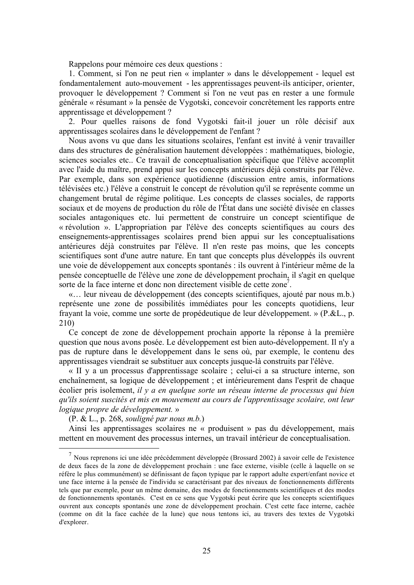Rappelons pour mémoire ces deux questions :

1. Comment, si l'on ne peut rien « implanter » dans le développement - lequel est fondamentalement auto-mouvement - les apprentissages peuvent-ils anticiper, orienter, provoquer le développement ? Comment si l'on ne veut pas en rester a une formule générale « résumant » la pensée de Vygotski, concevoir concrètement les rapports entre apprentissage et développement ?

2. Pour quelles raisons de fond Vygotski fait-il jouer un rôle décisif aux apprentissages scolaires dans le développement de l'enfant?

Nous avons vu que dans les situations scolaires, l'enfant est invité à venir travailler dans des structures de généralisation hautement développées : mathématiques, biologie, sciences sociales etc.. Ce travail de conceptualisation spécifique que l'élève accomplit avec l'aide du maître, prend appui sur les concepts antérieurs déjà construits par l'élève. Par exemple, dans son expérience quotidienne (discussion entre amis, informations télévisées etc.) l'élève a construit le concept de révolution qu'il se représente comme un changement brutal de régime politique. Les concepts de classes sociales, de rapports sociaux et de moyens de production du rôle de l'État dans une société divisée en classes sociales antagoniques etc. lui permettent de construire un concept scientifique de « révolution ». L'appropriation par l'élève des concepts scientifiques au cours des enseignements-apprentissages scolaires prend bien appui sur les conceptualisations antérieures déjà construites par l'élève. Il n'en reste pas moins, que les concepts scientifiques sont d'une autre nature. En tant que concepts plus développés ils ouvrent une voie de développement aux concepts spontanés : ils ouvrent à l'intérieur même de la pensée conceptuelle de l'élève une zone de développement prochain, il s'agit en quelque sorte de la face interne et donc non directement visible de cette zone<sup>7</sup>.

«... leur niveau de développement (des concepts scientifiques, ajouté par nous m.b.) représente une zone de possibilités immédiates pour les concepts quotidiens, leur frayant la voie, comme une sorte de propédeutique de leur développement. » (P.&L., p.  $210)$ 

Ce concept de zone de développement prochain apporte la réponse à la première question que nous avons posée. Le développement est bien auto-développement. Il n'y a pas de rupture dans le développement dans le sens où, par exemple, le contenu des apprentissages viendrait se substituer aux concepts jusque-là construits par l'élève.

« II y a un processus d'apprentissage scolaire ; celui-ci a sa structure interne, son enchaînement, sa logique de développement ; et intérieurement dans l'esprit de chaque écolier pris isolement, il y a en quelque sorte un réseau interne de processus qui bien *au'ils soient suscités et mis en mouvement au cours de l'apprentissage scolaire, ont leur* logique propre de développement. »

 $(P. & L., p. 268, *souligné par nous m.b.*)$ 

Ainsi les apprentissages scolaires ne « produisent » pas du développement, mais mettent en mouvement des processus internes, un travail intérieur de conceptualisation.

<sup>7</sup> Nous reprenons ici une idée précédemment développée (Brossard 2002) à savoir celle de l'existence de deux faces de la zone de développement prochain : une face externe, visible (celle à laquelle on se réfère le plus communément) se définissant de façon typique par le rapport adulte expert/enfant novice et une face interne à la pensée de l'individu se caractérisant par des niveaux de fonctionnements différents tels que par exemple, pour un même domaine, des modes de fonctionnements scientifiques et des modes de fonctionnements spontanés. C'est en ce sens que Vygotski peut écrire que les concepts scientifiques ouvrent aux concepts spontanés une zone de développement prochain. C'est cette face interne, cachée (comme on dit la face cachée de la lune) que nous tentons ici, au travers des textes de Vygotski d'explorer.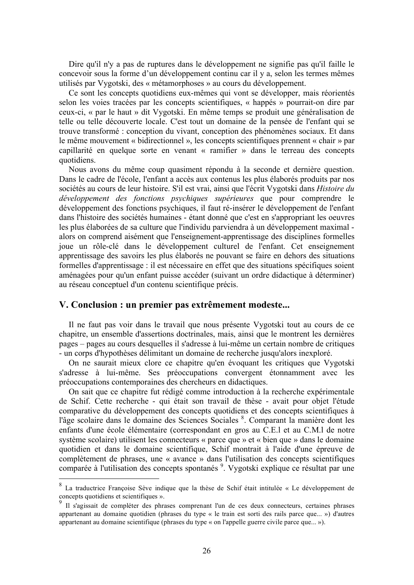Dire qu'il n'y a pas de ruptures dans le développement ne signifie pas qu'il faille le concevoir sous la forme d'un développement continu car il v a selon les termes mêmes utilisés par Vygotski, des « métamorphoses » au cours du développement.

Ce sont les concepts quotidiens eux-mêmes qui vont se développer, mais réorientés selon les voies tracées par les concepts scientifiques, « happés » pourrait-on dire par ceux-ci, « par le haut » dit Vygotski. En même temps se produit une généralisation de telle ou telle découverte locale. C'est tout un domaine de la pensée de l'enfant qui se trouve transformé : conception du vivant, conception des phénomènes sociaux. Et dans le même mouvement « bidirectionnel », les concepts scientifiques prennent « chair » par capillarité en quelque sorte en venant « ramifier » dans le terreau des concepts quotidiens.

Nous avons du même coup quasiment répondu à la seconde et dernière question. Dans le cadre de l'école, l'enfant a accès aux contenus les plus élaborés produits par nos sociétés au cours de leur histoire. S'il est vrai, ainsi que l'écrit Vygotski dans Histoire du développement des fonctions psychiques supérieures que pour comprendre le développement des fonctions psychiques, il faut ré-insérer le développement de l'enfant dans l'histoire des sociétés humaines - étant donné que c'est en s'appropriant les oeuvres les plus élaborées de sa culture que l'individu parviendra à un développement maximal alors on comprend aisément que l'enseignement-apprentissage des disciplines formelles joue un rôle-clé dans le développement culturel de l'enfant. Cet enseignement apprentissage des savoirs les plus élaborés ne pouvant se faire en dehors des situations formelles d'apprentissage : il est nécessaire en effet que des situations spécifiques soient aménagées pour qu'un enfant puisse accéder (suivant un ordre didactique à déterminer) au réseau conceptuel d'un contenu scientifique précis.

#### V. Conclusion : un premier pas extrêmement modeste...

Il ne faut pas voir dans le travail que nous présente Vygotski tout au cours de ce chapitre, un ensemble d'assertions doctrinales, mais, ainsi que le montrent les dernières pages – pages au cours desquelles il s'adresse à lui-même un certain nombre de critiques - un corps d'hypothèses délimitant un domaine de recherche jusqu'alors inexploré.

On ne saurait mieux clore ce chapitre qu'en évoquant les critiques que Vygotski s'adresse à lui-même. Ses préoccupations convergent étonnamment avec les préoccupations contemporaines des chercheurs en didactiques.

On sait que ce chapitre fut rédigé comme introduction à la recherche expérimentale de Schif. Cette recherche - qui était son travail de thèse - avait pour objet l'étude comparative du développement des concepts quotidiens et des concepts scientifiques à l'âge scolaire dans le domaine des Sciences Sociales <sup>8</sup>. Comparant la manière dont les enfants d'une école élémentaire (correspondant en gros au C.E.1 et au C.M.1 de notre système scolaire) utilisent les connecteurs « parce que » et « bien que » dans le domaine quotidien et dans le domaine scientifique, Schif montrait à l'aide d'une épreuve de complètement de phrases, une « avance » dans l'utilisation des concepts scientifiques comparée à l'utilisation des concepts spontanés<sup>9</sup>. Vygotski explique ce résultat par une

 $\,$  8  $\,$ La traductrice Françoise Sève indique que la thèse de Schif était intitulée « Le développement de concepts quotidiens et scientifiques ».

<sup>&</sup>lt;sup>9</sup> Il s'agissait de compléter des phrases comprenant l'un de ces deux connecteurs, certaines phrases appartenant au domaine quotidien (phrases du type « le train est sorti des rails parce que... ») d'autres appartenant au domaine scientifique (phrases du type « on l'appelle guerre civile parce que... »).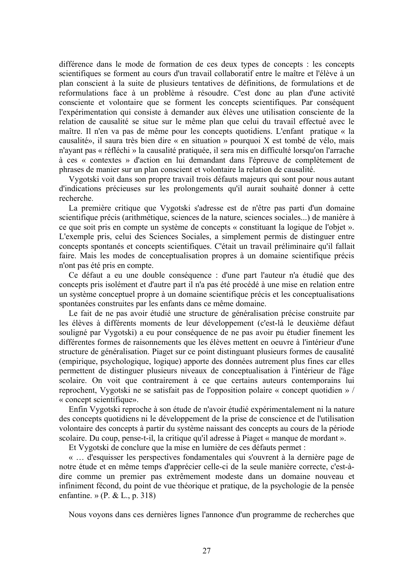différence dans le mode de formation de ces deux types de concepts : les concepts scientifiques se forment au cours d'un travail collaboratif entre le maître et l'élève à un plan conscient à la suite de plusieurs tentatives de définitions, de formulations et de reformulations face à un problème à résoudre. C'est donc au plan d'une activité consciente et volontaire que se forment les concepts scientifiques. Par conséquent l'expérimentation qui consiste à demander aux élèves une utilisation consciente de la relation de causalité se situe sur le même plan que celui du travail effectué avec le maître. Il n'en va pas de même pour les concepts quotidiens. L'enfant pratique « la causalité», il saura très bien dire « en situation » pourquoi X est tombé de vélo, mais n'avant pas « réfléchi » la causalité pratiquée, il sera mis en difficulté lorsqu'on l'arrache à ces « contextes » d'action en lui demandant dans l'épreuve de complètement de phrases de manier sur un plan conscient et volontaire la relation de causalité.

Vygotski voit dans son propre travail trois défauts majeurs qui sont pour nous autant d'indications précieuses sur les prolongements qu'il aurait souhaité donner à cette recherche.

La première critique que Vygotski s'adresse est de n'être pas parti d'un domaine scientifique précis (arithmétique, sciences de la nature, sciences sociales...) de manière à ce que soit pris en compte un système de concepts « constituant la logique de l'objet ». L'exemple pris, celui des Sciences Sociales, a simplement permis de distinguer entre concepts spontanés et concepts scientifiques. C'était un travail préliminaire qu'il fallait faire. Mais les modes de conceptualisation propres à un domaine scientifique précis n'ont pas été pris en compte.

Ce défaut a eu une double conséquence : d'une part l'auteur n'a étudié que des concepts pris isolément et d'autre part il n'a pas été procédé à une mise en relation entre un système conceptuel propre à un domaine scientifique précis et les conceptualisations spontanées construites par les enfants dans ce même domaine.

Le fait de ne pas avoir étudié une structure de généralisation précise construite par les élèves à différents moments de leur développement (c'est-là le deuxième défaut souligné par Vygotski) a eu pour conséquence de ne pas avoir pu étudier finement les différentes formes de raisonnements que les élèves mettent en oeuvre à l'intérieur d'une structure de généralisation. Piaget sur ce point distinguant plusieurs formes de causalité (empirique, psychologique, logique) apporte des données autrement plus fines car elles permettent de distinguer plusieurs niveaux de conceptualisation à l'intérieur de l'âge scolaire. On voit que contrairement à ce que certains auteurs contemporains lui reprochent, Vygotski ne se satisfait pas de l'opposition polaire « concept quotidien » / « concept scientifique».

Enfin Vygotski reproche à son étude de n'avoir étudié expérimentalement ni la nature des concepts quotidiens ni le développement de la prise de conscience et de l'utilisation volontaire des concepts à partir du système naissant des concepts au cours de la période scolaire. Du coup, pense-t-il, la critique qu'il adresse à Piaget « manque de mordant ».

Et Vygotski de conclure que la mise en lumière de ces défauts permet :

« ... d'esquisser les perspectives fondamentales qui s'ouvrent à la dernière page de notre étude et en même temps d'apprécier celle-ci de la seule manière correcte, c'est-àdire comme un premier pas extrêmement modeste dans un domaine nouveau et infiniment fécond, du point de vue théorique et pratique, de la psychologie de la pensée enfantine. » (P. & L., p. 318)

Nous voyons dans ces dernières lignes l'annonce d'un programme de recherches que